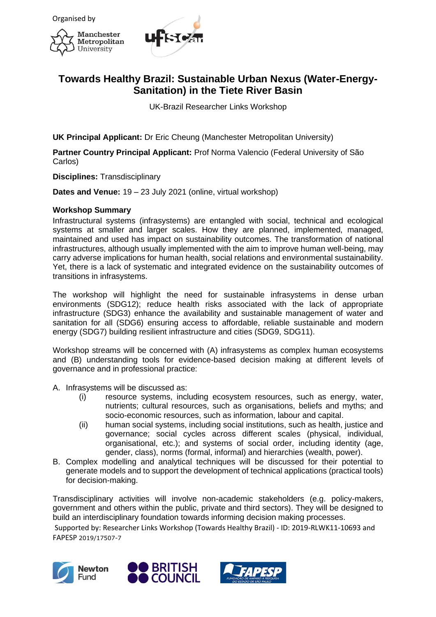



## **Towards Healthy Brazil: Sustainable Urban Nexus (Water-Energy-Sanitation) in the Tiete River Basin**

UK-Brazil Researcher Links Workshop

**UK Principal Applicant:** Dr Eric Cheung (Manchester Metropolitan University)

**Partner Country Principal Applicant:** Prof Norma Valencio (Federal University of São Carlos)

**Disciplines:** Transdisciplinary

**Dates and Venue:** 19 – 23 July 2021 (online, virtual workshop)

## **Workshop Summary**

Infrastructural systems (infrasystems) are entangled with social, technical and ecological systems at smaller and larger scales. How they are planned, implemented, managed, maintained and used has impact on sustainability outcomes. The transformation of national infrastructures, although usually implemented with the aim to improve human well-being, may carry adverse implications for human health, social relations and environmental sustainability. Yet, there is a lack of systematic and integrated evidence on the sustainability outcomes of transitions in infrasystems.

The workshop will highlight the need for sustainable infrasystems in dense urban environments (SDG12); reduce health risks associated with the lack of appropriate infrastructure (SDG3) enhance the availability and sustainable management of water and sanitation for all (SDG6) ensuring access to affordable, reliable sustainable and modern energy (SDG7) building resilient infrastructure and cities (SDG9, SDG11).

Workshop streams will be concerned with (A) infrasystems as complex human ecosystems and (B) understanding tools for evidence-based decision making at different levels of governance and in professional practice:

A. Infrasystems will be discussed as:

- (i) resource systems, including ecosystem resources, such as energy, water, nutrients; cultural resources, such as organisations, beliefs and myths; and socio-economic resources, such as information, labour and capital.
- (ii) human social systems, including social institutions, such as health, justice and governance; social cycles across different scales (physical, individual, organisational, etc.); and systems of social order, including identity (age, gender, class), norms (formal, informal) and hierarchies (wealth, power).
- B. Complex modelling and analytical techniques will be discussed for their potential to generate models and to support the development of technical applications (practical tools) for decision-making.

Transdisciplinary activities will involve non-academic stakeholders (e.g. policy-makers, government and others within the public, private and third sectors). They will be designed to build an interdisciplinary foundation towards informing decision making processes.





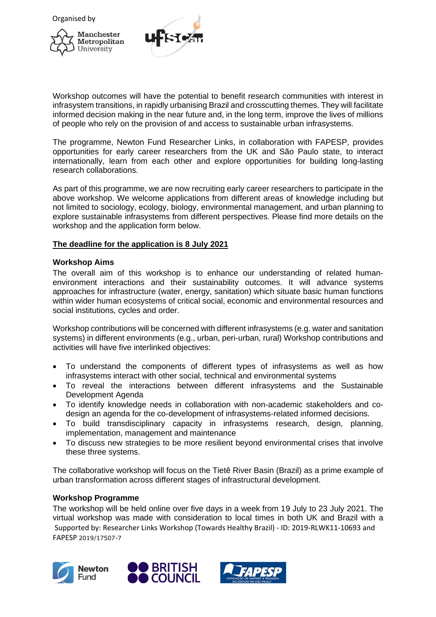Organised by





Workshop outcomes will have the potential to benefit research communities with interest in infrasystem transitions, in rapidly urbanising Brazil and crosscutting themes. They will facilitate informed decision making in the near future and, in the long term, improve the lives of millions of people who rely on the provision of and access to sustainable urban infrasystems.

The programme, Newton Fund Researcher Links, in collaboration with FAPESP, provides opportunities for early career researchers from the UK and São Paulo state, to interact internationally, learn from each other and explore opportunities for building long-lasting research collaborations.

As part of this programme, we are now recruiting early career researchers to participate in the above workshop. We welcome applications from different areas of knowledge including but not limited to sociology, ecology, biology, environmental management, and urban planning to explore sustainable infrasystems from different perspectives. Please find more details on the workshop and the application form below.

## **The deadline for the application is 8 July 2021**

## **Workshop Aims**

The overall aim of this workshop is to enhance our understanding of related humanenvironment interactions and their sustainability outcomes. It will advance systems approaches for infrastructure (water, energy, sanitation) which situate basic human functions within wider human ecosystems of critical social, economic and environmental resources and social institutions, cycles and order.

Workshop contributions will be concerned with different infrasystems (e.g. water and sanitation systems) in different environments (e.g., urban, peri-urban, rural) Workshop contributions and activities will have five interlinked objectives:

- To understand the components of different types of infrasystems as well as how infrasystems interact with other social, technical and environmental systems
- To reveal the interactions between different infrasystems and the Sustainable Development Agenda
- To identify knowledge needs in collaboration with non-academic stakeholders and codesign an agenda for the co-development of infrasystems-related informed decisions.
- To build transdisciplinary capacity in infrasystems research, design, planning, implementation, management and maintenance
- To discuss new strategies to be more resilient beyond environmental crises that involve these three systems.

The collaborative workshop will focus on the Tietê River Basin (Brazil) as a prime example of urban transformation across different stages of infrastructural development.

## **Workshop Programme**

Supported by: Researcher Links Workshop (Towards Healthy Brazil) - ID: 2019-RLWK11-10693 and FAPESP [2019/17507-7](javascript:mediumPopup() The workshop will be held online over five days in a week from 19 July to 23 July 2021. The virtual workshop was made with consideration to local times in both UK and Brazil with a





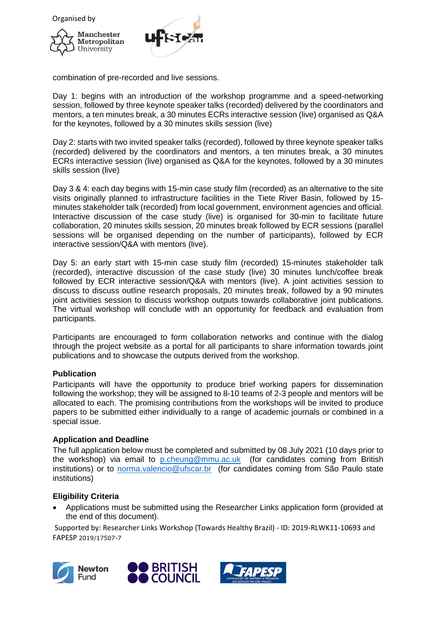

combination of pre-recorded and live sessions.

Day 1: begins with an introduction of the workshop programme and a speed-networking session, followed by three keynote speaker talks (recorded) delivered by the coordinators and mentors, a ten minutes break, a 30 minutes ECRs interactive session (live) organised as Q&A for the keynotes, followed by a 30 minutes skills session (live)

Day 2: starts with two invited speaker talks (recorded), followed by three keynote speaker talks (recorded) delivered by the coordinators and mentors, a ten minutes break, a 30 minutes ECRs interactive session (live) organised as Q&A for the keynotes, followed by a 30 minutes skills session (live)

Day 3 & 4: each day begins with 15-min case study film (recorded) as an alternative to the site visits originally planned to infrastructure facilities in the Tiete River Basin, followed by 15 minutes stakeholder talk (recorded) from local government, environment agencies and official. Interactive discussion of the case study (live) is organised for 30-min to facilitate future collaboration, 20 minutes skills session, 20 minutes break followed by ECR sessions (parallel sessions will be organised depending on the number of participants), followed by ECR interactive session/Q&A with mentors (live).

Day 5: an early start with 15-min case study film (recorded) 15-minutes stakeholder talk (recorded), interactive discussion of the case study (live) 30 minutes lunch/coffee break followed by ECR interactive session/Q&A with mentors (live). A joint activities session to discuss to discuss outline research proposals, 20 minutes break, followed by a 90 minutes joint activities session to discuss workshop outputs towards collaborative joint publications. The virtual workshop will conclude with an opportunity for feedback and evaluation from participants.

Participants are encouraged to form collaboration networks and continue with the dialog through the project website as a portal for all participants to share information towards joint publications and to showcase the outputs derived from the workshop.

## **Publication**

Participants will have the opportunity to produce brief working papers for dissemination following the workshop; they will be assigned to 8-10 teams of 2-3 people and mentors will be allocated to each. The promising contributions from the workshops will be invited to produce papers to be submitted either individually to a range of academic journals or combined in a special issue.

## **Application and Deadline**

The full application below must be completed and submitted by 08 July 2021 (10 days prior to the workshop) via email to [p.cheung@mmu.ac.uk](mailto:p.cheung@mmu.ac.uk) (for candidates coming from British institutions) or to [norma.valencio@ufscar.br](mailto:norma.valencio@ufscar.br) (for candidates coming from São Paulo state institutions)

## **Eligibility Criteria**

• Applications must be submitted using the Researcher Links application form (provided at the end of this document).





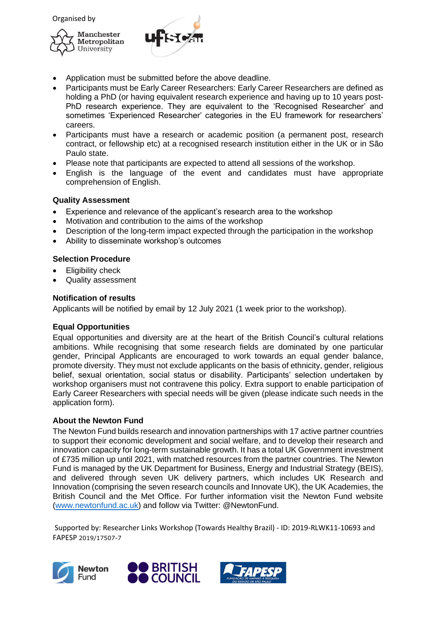



- Application must be submitted before the above deadline.
- Participants must be Early Career Researchers: Early Career Researchers are defined as holding a PhD (or having equivalent research experience and having up to 10 years post-PhD research experience. They are equivalent to the 'Recognised Researcher' and sometimes 'Experienced Researcher' categories in the EU framework for researchers' careers.
- Participants must have a research or academic position (a permanent post, research contract, or fellowship etc) at a recognised research institution either in the UK or in São Paulo state.
- Please note that participants are expected to attend all sessions of the workshop.
- English is the language of the event and candidates must have appropriate comprehension of English.

## **Quality Assessment**

- Experience and relevance of the applicant's research area to the workshop
- Motivation and contribution to the aims of the workshop
- Description of the long-term impact expected through the participation in the workshop
- Ability to disseminate workshop's outcomes

## **Selection Procedure**

- Eligibility check
- Quality assessment

## **Notification of results**

Applicants will be notified by email by 12 July 2021 (1 week prior to the workshop).

## **Equal Opportunities**

Equal opportunities and diversity are at the heart of the British Council's cultural relations ambitions. While recognising that some research fields are dominated by one particular gender, Principal Applicants are encouraged to work towards an equal gender balance, promote diversity. They must not exclude applicants on the basis of ethnicity, gender, religious belief, sexual orientation, social status or disability. Participants' selection undertaken by workshop organisers must not contravene this policy. Extra support to enable participation of Early Career Researchers with special needs will be given (please indicate such needs in the application form).

## **About the Newton Fund**

The Newton Fund builds research and innovation partnerships with 17 active partner countries to support their economic development and social welfare, and to develop their research and innovation capacity for long-term sustainable growth. It has a total UK Government investment of £735 million up until 2021, with matched resources from the partner countries. The Newton Fund is managed by the UK Department for Business, Energy and Industrial Strategy (BEIS), and delivered through seven UK delivery partners, which includes UK Research and Innovation (comprising the seven research councils and Innovate UK), the UK Academies, the British Council and the Met Office. For further information visit the Newton Fund website [\(www.newtonfund.ac.uk\)](http://www.newtonfund.ac.uk/) and follow via Twitter: @NewtonFund.





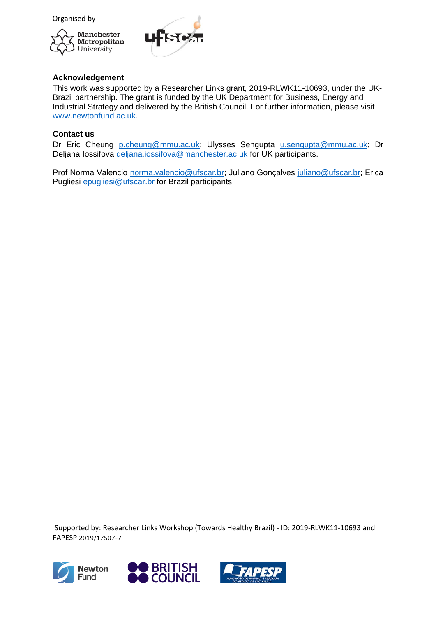Organised by





## **Acknowledgement**

This work was supported by a Researcher Links grant, 2019-RLWK11-10693, under the UK-Brazil partnership. The grant is funded by the UK Department for Business, Energy and Industrial Strategy and delivered by the British Council. For further information, please visit [www.newtonfund.ac.uk.](http://www.newtonfund.ac.uk/)

## **Contact us**

Dr Eric Cheung [p.cheung@mmu.ac.uk;](mailto:p.cheung@mmu.ac.uk) Ulysses Sengupta [u.sengupta@mmu.ac.uk;](mailto:u.sengupta@mmu.ac.uk) Dr Deljana Iossifova [deljana.iossifova@manchester.ac.uk](mailto:deljana.iossifova@manchester.ac.uk) for UK participants.

Prof Norma Valencio [norma.valencio@ufscar.br;](mailto:norma.valencio@ufscar.br) Juliano Gonçalves [juliano@ufscar.br;](mailto:juliano@ufscar.br) Erica Pugliesi [epugliesi@ufscar.br](mailto:epugliesi@ufscar.br) for Brazil participants.





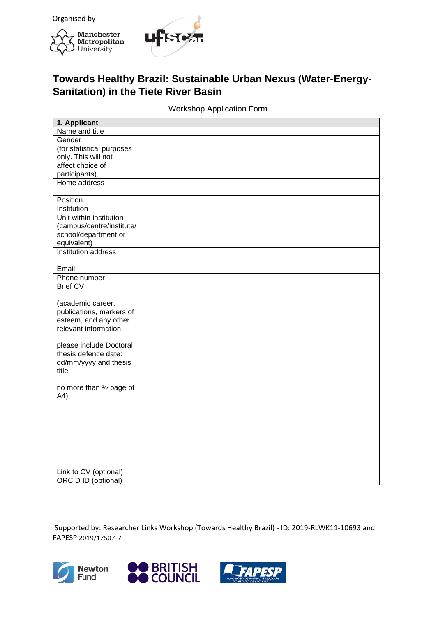



# **Towards Healthy Brazil: Sustainable Urban Nexus (Water-Energy-Sanitation) in the Tiete River Basin**

## Workshop Application Form

| 1. Applicant                                  |  |
|-----------------------------------------------|--|
| Name and title                                |  |
| Gender                                        |  |
| (for statistical purposes                     |  |
| only. This will not                           |  |
| affect choice of                              |  |
| participants)                                 |  |
| Home address                                  |  |
| Position                                      |  |
| Institution                                   |  |
| Unit within institution                       |  |
| (campus/centre/institute/                     |  |
| school/department or                          |  |
| equivalent)                                   |  |
| <b>Institution address</b>                    |  |
| Email                                         |  |
| Phone number                                  |  |
| <b>Brief CV</b>                               |  |
|                                               |  |
| (academic career,                             |  |
| publications, markers of                      |  |
| esteem, and any other<br>relevant information |  |
|                                               |  |
| please include Doctoral                       |  |
| thesis defence date:                          |  |
| dd/mm/yyyy and thesis                         |  |
| title                                         |  |
|                                               |  |
| no more than 1/2 page of                      |  |
| A4)                                           |  |
|                                               |  |
|                                               |  |
|                                               |  |
|                                               |  |
|                                               |  |
|                                               |  |
|                                               |  |
|                                               |  |
| Link to CV (optional)<br>ORCID ID (optional)  |  |
|                                               |  |





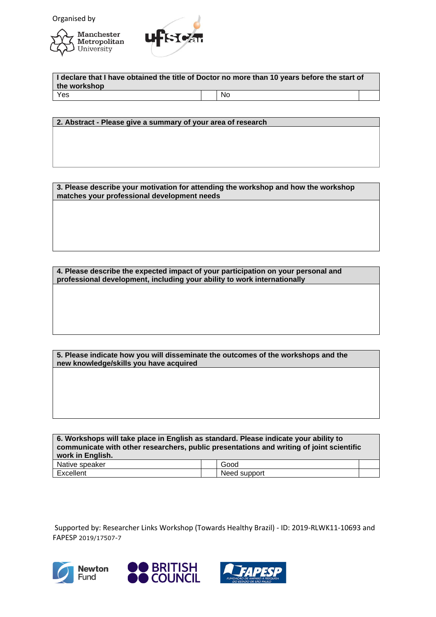



**I declare that I have obtained the title of Doctor no more than 10 years before the start of the workshop** Yes No

**2. Abstract - Please give a summary of your area of research**

**3. Please describe your motivation for attending the workshop and how the workshop matches your professional development needs**

**4. Please describe the expected impact of your participation on your personal and professional development, including your ability to work internationally**

**5. Please indicate how you will disseminate the outcomes of the workshops and the new knowledge/skills you have acquired**

**6. Workshops will take place in English as standard. Please indicate your ability to communicate with other researchers, public presentations and writing of joint scientific work in English.** Native speaker Good Excellent Need support